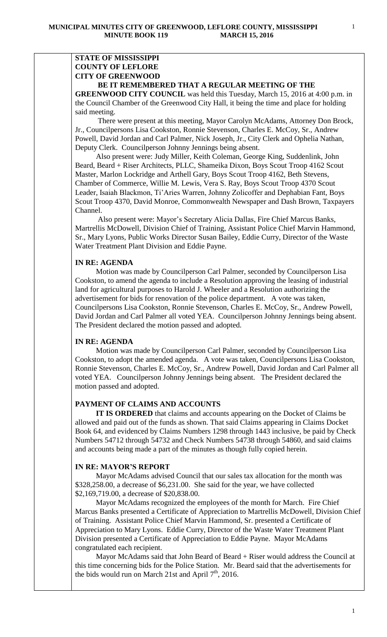# **STATE OF MISSISSIPPI COUNTY OF LEFLORE CITY OF GREENWOOD**

### **BE IT REMEMBERED THAT A REGULAR MEETING OF THE**

**GREENWOOD CITY COUNCIL** was held this Tuesday, March 15, 2016 at 4:00 p.m. in the Council Chamber of the Greenwood City Hall, it being the time and place for holding said meeting.

There were present at this meeting, Mayor Carolyn McAdams, Attorney Don Brock, Jr., Councilpersons Lisa Cookston, Ronnie Stevenson, Charles E. McCoy, Sr., Andrew Powell, David Jordan and Carl Palmer, Nick Joseph, Jr., City Clerk and Ophelia Nathan, Deputy Clerk. Councilperson Johnny Jennings being absent.

 Also present were: Judy Miller, Keith Coleman, George King, Suddenlink, John Beard, Beard + Riser Architects, PLLC, Shameika Dixon, Boys Scout Troop 4162 Scout Master, Marlon Lockridge and Arthell Gary, Boys Scout Troop 4162, Beth Stevens, Chamber of Commerce, Willie M. Lewis, Vera S. Ray, Boys Scout Troop 4370 Scout Leader, Isaiah Blackmon, Ti'Aries Warren, Johnny Zolicoffer and Dephabian Fant, Boys Scout Troop 4370, David Monroe, Commonwealth Newspaper and Dash Brown, Taxpayers Channel.

 Also present were: Mayor's Secretary Alicia Dallas, Fire Chief Marcus Banks, Martrellis McDowell, Division Chief of Training, Assistant Police Chief Marvin Hammond, Sr., Mary Lyons, Public Works Director Susan Bailey, Eddie Curry, Director of the Waste Water Treatment Plant Division and Eddie Payne.

### **IN RE: AGENDA**

 Motion was made by Councilperson Carl Palmer, seconded by Councilperson Lisa Cookston, to amend the agenda to include a Resolution approving the leasing of industrial land for agricultural purposes to Harold J. Wheeler and a Resolution authorizing the advertisement for bids for renovation of the police department. A vote was taken, Councilpersons Lisa Cookston, Ronnie Stevenson, Charles E. McCoy, Sr., Andrew Powell, David Jordan and Carl Palmer all voted YEA. Councilperson Johnny Jennings being absent. The President declared the motion passed and adopted.

### **IN RE: AGENDA**

 Motion was made by Councilperson Carl Palmer, seconded by Councilperson Lisa Cookston, to adopt the amended agenda. A vote was taken, Councilpersons Lisa Cookston, Ronnie Stevenson, Charles E. McCoy, Sr., Andrew Powell, David Jordan and Carl Palmer all voted YEA. Councilperson Johnny Jennings being absent. The President declared the motion passed and adopted.

### **PAYMENT OF CLAIMS AND ACCOUNTS**

 **IT IS ORDERED** that claims and accounts appearing on the Docket of Claims be allowed and paid out of the funds as shown. That said Claims appearing in Claims Docket Book 64, and evidenced by Claims Numbers 1298 through 1443 inclusive, be paid by Check Numbers 54712 through 54732 and Check Numbers 54738 through 54860, and said claims and accounts being made a part of the minutes as though fully copied herein.

### **IN RE: MAYOR'S REPORT**

 Mayor McAdams advised Council that our sales tax allocation for the month was \$328,258.00, a decrease of \$6,231.00. She said for the year, we have collected \$2,169,719.00, a decrease of \$20,838.00.

 Mayor McAdams recognized the employees of the month for March. Fire Chief Marcus Banks presented a Certificate of Appreciation to Martrellis McDowell, Division Chief of Training. Assistant Police Chief Marvin Hammond, Sr. presented a Certificate of Appreciation to Mary Lyons. Eddie Curry, Director of the Waste Water Treatment Plant Division presented a Certificate of Appreciation to Eddie Payne. Mayor McAdams congratulated each recipient.

 Mayor McAdams said that John Beard of Beard + Riser would address the Council at this time concerning bids for the Police Station. Mr. Beard said that the advertisements for the bids would run on March 21st and April  $7<sup>th</sup>$ , 2016.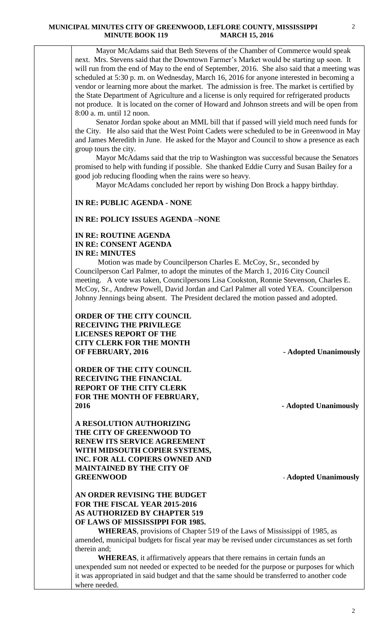Mayor McAdams said that Beth Stevens of the Chamber of Commerce would speak next. Mrs. Stevens said that the Downtown Farmer's Market would be starting up soon. It will run from the end of May to the end of September, 2016. She also said that a meeting was scheduled at 5:30 p. m. on Wednesday, March 16, 2016 for anyone interested in becoming a vendor or learning more about the market. The admission is free. The market is certified by the State Department of Agriculture and a license is only required for refrigerated products not produce. It is located on the corner of Howard and Johnson streets and will be open from 8:00 a. m. until 12 noon.

 Senator Jordan spoke about an MML bill that if passed will yield much need funds for the City. He also said that the West Point Cadets were scheduled to be in Greenwood in May and James Meredith in June. He asked for the Mayor and Council to show a presence as each group tours the city.

 Mayor McAdams said that the trip to Washington was successful because the Senators promised to help with funding if possible. She thanked Eddie Curry and Susan Bailey for a good job reducing flooding when the rains were so heavy.

Mayor McAdams concluded her report by wishing Don Brock a happy birthday.

## **IN RE: PUBLIC AGENDA - NONE**

## **IN RE: POLICY ISSUES AGENDA –NONE**

## **IN RE: ROUTINE AGENDA IN RE: CONSENT AGENDA IN RE: MINUTES**

 Motion was made by Councilperson Charles E. McCoy, Sr., seconded by Councilperson Carl Palmer, to adopt the minutes of the March 1, 2016 City Council meeting. A vote was taken, Councilpersons Lisa Cookston, Ronnie Stevenson, Charles E. McCoy, Sr., Andrew Powell, David Jordan and Carl Palmer all voted YEA. Councilperson Johnny Jennings being absent. The President declared the motion passed and adopted.

**ORDER OF THE CITY COUNCIL RECEIVING THE PRIVILEGE LICENSES REPORT OF THE CITY CLERK FOR THE MONTH OF FEBRUARY, 2016** - **Adopted Unanimously** 

**ORDER OF THE CITY COUNCIL RECEIVING THE FINANCIAL REPORT OF THE CITY CLERK FOR THE MONTH OF FEBRUARY, 2016 - Adopted Unanimously**

**A RESOLUTION AUTHORIZING THE CITY OF GREENWOOD TO RENEW ITS SERVICE AGREEMENT WITH MIDSOUTH COPIER SYSTEMS, INC. FOR ALL COPIERS OWNED AND MAINTAINED BY THE CITY OF GREENWOOD** - **Adopted Unanimously**

# **AN ORDER REVISING THE BUDGET FOR THE FISCAL YEAR 2015-2016 AS AUTHORIZED BY CHAPTER 519 OF LAWS OF MISSISSIPPI FOR 1985.**

**WHEREAS**, provisions of Chapter 519 of the Laws of Mississippi of 1985, as amended, municipal budgets for fiscal year may be revised under circumstances as set forth therein and;

**WHEREAS**, it affirmatively appears that there remains in certain funds an unexpended sum not needed or expected to be needed for the purpose or purposes for which it was appropriated in said budget and that the same should be transferred to another code where needed.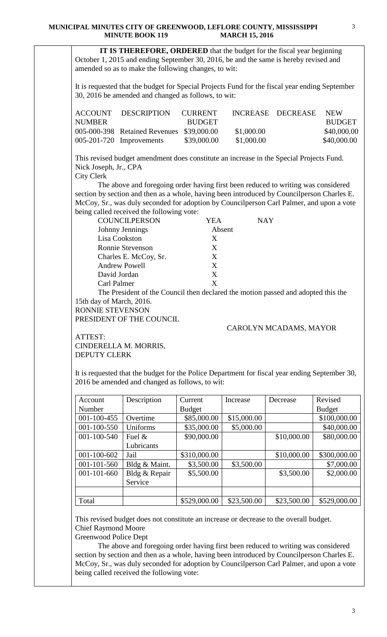### **MUNICIPAL MINUTES CITY OF GREENWOOD, LEFLORE COUNTY, MISSISSIPPI MINUTE BOOK 119 MARCH 15, 2016**

 **IT IS THEREFORE, ORDERED** that the budget for the fiscal year beginning October 1, 2015 and ending September 30, 2016, be and the same is hereby revised and amended so as to make the following changes, to wit:

It is requested that the budget for Special Projects Fund for the fiscal year ending September 30, 2016 be amended and changed as follows, to wit:

|        | ACCOUNT DESCRIPTION                       | <b>CURRENT</b> |            | INCREASE DECREASE | NEW.          |
|--------|-------------------------------------------|----------------|------------|-------------------|---------------|
| NUMBER |                                           | <b>BUDGET</b>  |            |                   | <b>BUDGET</b> |
|        | 005-000-398 Retained Revenues \$39,000.00 |                | \$1,000.00 |                   | \$40,000.00   |
|        | $005-201-720$ Improvements                | \$39,000.00    | \$1,000.00 |                   | \$40,000.00   |

This revised budget amendment does constitute an increase in the Special Projects Fund. Nick Joseph, Jr., CPA City Clerk

 The above and foregoing order having first been reduced to writing was considered section by section and then as a whole, having been introduced by Councilperson Charles E. McCoy, Sr., was duly seconded for adoption by Councilperson Carl Palmer, and upon a vote being called received the following vote:

| <b>COUNCILPERSON</b>  | YEA    | NAY |
|-----------------------|--------|-----|
| Johnny Jennings       | Absent |     |
| Lisa Cookston         | X      |     |
| Ronnie Stevenson      | X      |     |
| Charles E. McCoy, Sr. | X      |     |
| <b>Andrew Powell</b>  | X      |     |
| David Jordan          | X      |     |
| Carl Palmer           | X      |     |

The President of the Council then declared the motion passed and adopted this the 15th day of March, 2016. RONNIE STEVENSON

PRESIDENT OF THE COUNCIL.

## CAROLYN MCADAMS, MAYOR

ATTEST: CINDERELLA M. MORRIS, DEPUTY CLERK

It is requested that the budget for the Police Department for fiscal year ending September 30, 2016 be amended and changed as follows, to wit:

| Account           | Description   | Current       | Increase    | Decrease    | Revised       |
|-------------------|---------------|---------------|-------------|-------------|---------------|
| Number            |               | <b>Budget</b> |             |             | <b>Budget</b> |
| 001-100-455       | Overtime      | \$85,000.00   | \$15,000.00 |             | \$100,000.00  |
| 001-100-550       | Uniforms      | \$35,000.00   | \$5,000.00  |             | \$40,000.00   |
| 001-100-540       | Fuel $\&$     | \$90,000.00   |             | \$10,000.00 | \$80,000.00   |
|                   | Lubricants    |               |             |             |               |
| 001-100-602       | Jail          | \$310,000.00  |             | \$10,000.00 | \$300,000.00  |
| 001-101-560       | Bldg & Maint. | \$3,500.00    | \$3,500.00  |             | \$7,000.00    |
| $001 - 101 - 660$ | Bldg & Repair | \$5,500.00    |             | \$3,500.00  | \$2,000.00    |
|                   | Service       |               |             |             |               |
|                   |               |               |             |             |               |
| Total             |               | \$529,000.00  | \$23,500.00 | \$23,500.00 | \$529,000.00  |

This revised budget does not constitute an increase or decrease to the overall budget. Chief Raymond Moore

Greenwood Police Dept

 The above and foregoing order having first been reduced to writing was considered section by section and then as a whole, having been introduced by Councilperson Charles E. McCoy, Sr., was duly seconded for adoption by Councilperson Carl Palmer, and upon a vote being called received the following vote: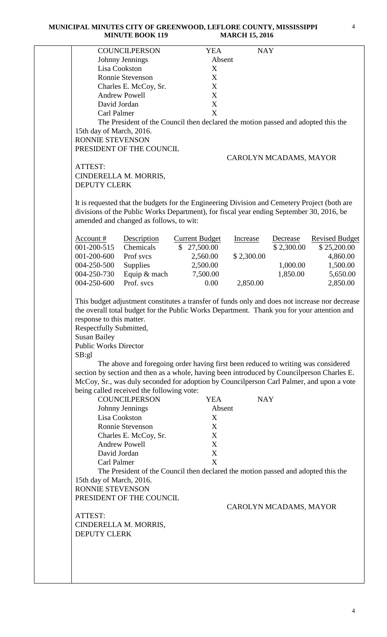#### **MUNICIPAL MINUTES CITY OF GREENWOOD, LEFLORE COUNTY, MISSISSIPPI MINUTE BOOK 119 MARCH 15, 2016**

|                                                                                                          | <b>COUNCILPERSON</b>                                                                                                                                                                                                                                                                                                                                                | <b>YEA</b>                | <b>NAY</b>             |            |                       |
|----------------------------------------------------------------------------------------------------------|---------------------------------------------------------------------------------------------------------------------------------------------------------------------------------------------------------------------------------------------------------------------------------------------------------------------------------------------------------------------|---------------------------|------------------------|------------|-----------------------|
|                                                                                                          | Johnny Jennings                                                                                                                                                                                                                                                                                                                                                     | Absent                    |                        |            |                       |
| Lisa Cookston                                                                                            |                                                                                                                                                                                                                                                                                                                                                                     | X                         |                        |            |                       |
|                                                                                                          | <b>Ronnie Stevenson</b>                                                                                                                                                                                                                                                                                                                                             | X                         |                        |            |                       |
|                                                                                                          | Charles E. McCoy, Sr.                                                                                                                                                                                                                                                                                                                                               | X                         |                        |            |                       |
|                                                                                                          | <b>Andrew Powell</b>                                                                                                                                                                                                                                                                                                                                                | X                         |                        |            |                       |
| David Jordan                                                                                             |                                                                                                                                                                                                                                                                                                                                                                     | X                         |                        |            |                       |
| Carl Palmer                                                                                              |                                                                                                                                                                                                                                                                                                                                                                     | X                         |                        |            |                       |
|                                                                                                          | The President of the Council then declared the motion passed and adopted this the                                                                                                                                                                                                                                                                                   |                           |                        |            |                       |
| 15th day of March, 2016.                                                                                 |                                                                                                                                                                                                                                                                                                                                                                     |                           |                        |            |                       |
| RONNIE STEVENSON                                                                                         |                                                                                                                                                                                                                                                                                                                                                                     |                           |                        |            |                       |
|                                                                                                          | PRESIDENT OF THE COUNCIL                                                                                                                                                                                                                                                                                                                                            |                           |                        |            |                       |
|                                                                                                          |                                                                                                                                                                                                                                                                                                                                                                     |                           | CAROLYN MCADAMS, MAYOR |            |                       |
| ATTEST:                                                                                                  |                                                                                                                                                                                                                                                                                                                                                                     |                           |                        |            |                       |
|                                                                                                          | CINDERELLA M. MORRIS,                                                                                                                                                                                                                                                                                                                                               |                           |                        |            |                       |
|                                                                                                          |                                                                                                                                                                                                                                                                                                                                                                     |                           |                        |            |                       |
| <b>DEPUTY CLERK</b>                                                                                      |                                                                                                                                                                                                                                                                                                                                                                     |                           |                        |            |                       |
|                                                                                                          | It is requested that the budgets for the Engineering Division and Cemetery Project (both are<br>divisions of the Public Works Department), for fiscal year ending September 30, 2016, be                                                                                                                                                                            |                           |                        |            |                       |
|                                                                                                          | amended and changed as follows, to wit:                                                                                                                                                                                                                                                                                                                             |                           |                        |            |                       |
| Account $#$                                                                                              | Description                                                                                                                                                                                                                                                                                                                                                         | <b>Current Budget</b>     | Increase               | Decrease   | <b>Revised Budget</b> |
| 001-200-515                                                                                              | Chemicals                                                                                                                                                                                                                                                                                                                                                           | \$27,500.00               |                        | \$2,300.00 | \$25,200.00           |
|                                                                                                          |                                                                                                                                                                                                                                                                                                                                                                     |                           |                        |            |                       |
| 001-200-600                                                                                              | Prof svcs                                                                                                                                                                                                                                                                                                                                                           | 2,560.00                  | \$2,300.00             |            | 4,860.00              |
| 004-250-500                                                                                              | <b>Supplies</b>                                                                                                                                                                                                                                                                                                                                                     | 2,500.00                  |                        | 1,000.00   | 1,500.00              |
| 004-250-730                                                                                              | Equip & mach                                                                                                                                                                                                                                                                                                                                                        | 7,500.00                  |                        | 1,850.00   | 5,650.00              |
| 004-250-600                                                                                              | Prof. svcs                                                                                                                                                                                                                                                                                                                                                          | 0.00                      | 2,850.00               |            | 2,850.00              |
| Respectfully Submitted,<br><b>Susan Bailey</b><br><b>Public Works Director</b><br>SB:gl<br>Lisa Cookston | The above and foregoing order having first been reduced to writing was considered<br>section by section and then as a whole, having been introduced by Councilperson Charles E.<br>McCoy, Sr., was duly seconded for adoption by Councilperson Carl Palmer, and upon a vote<br>being called received the following vote:<br><b>COUNCILPERSON</b><br>Johnny Jennings | <b>YEA</b><br>Absent<br>X | <b>NAY</b>             |            |                       |
|                                                                                                          | Ronnie Stevenson                                                                                                                                                                                                                                                                                                                                                    | X                         |                        |            |                       |
|                                                                                                          | Charles E. McCoy, Sr.                                                                                                                                                                                                                                                                                                                                               | X                         |                        |            |                       |
|                                                                                                          | <b>Andrew Powell</b>                                                                                                                                                                                                                                                                                                                                                | X                         |                        |            |                       |
| David Jordan                                                                                             |                                                                                                                                                                                                                                                                                                                                                                     | $\mathbf X$               |                        |            |                       |
| Carl Palmer                                                                                              |                                                                                                                                                                                                                                                                                                                                                                     | X                         |                        |            |                       |
|                                                                                                          |                                                                                                                                                                                                                                                                                                                                                                     |                           |                        |            |                       |
|                                                                                                          | The President of the Council then declared the motion passed and adopted this the                                                                                                                                                                                                                                                                                   |                           |                        |            |                       |
| 15th day of March, 2016.                                                                                 |                                                                                                                                                                                                                                                                                                                                                                     |                           |                        |            |                       |
| RONNIE STEVENSON                                                                                         |                                                                                                                                                                                                                                                                                                                                                                     |                           |                        |            |                       |
|                                                                                                          | PRESIDENT OF THE COUNCIL                                                                                                                                                                                                                                                                                                                                            |                           |                        |            |                       |
|                                                                                                          |                                                                                                                                                                                                                                                                                                                                                                     |                           | CAROLYN MCADAMS, MAYOR |            |                       |
| ATTEST:                                                                                                  |                                                                                                                                                                                                                                                                                                                                                                     |                           |                        |            |                       |
|                                                                                                          | CINDERELLA M. MORRIS,                                                                                                                                                                                                                                                                                                                                               |                           |                        |            |                       |
| <b>DEPUTY CLERK</b>                                                                                      |                                                                                                                                                                                                                                                                                                                                                                     |                           |                        |            |                       |
|                                                                                                          |                                                                                                                                                                                                                                                                                                                                                                     |                           |                        |            |                       |
|                                                                                                          |                                                                                                                                                                                                                                                                                                                                                                     |                           |                        |            |                       |
|                                                                                                          |                                                                                                                                                                                                                                                                                                                                                                     |                           |                        |            |                       |
|                                                                                                          |                                                                                                                                                                                                                                                                                                                                                                     |                           |                        |            |                       |
|                                                                                                          |                                                                                                                                                                                                                                                                                                                                                                     |                           |                        |            |                       |
|                                                                                                          |                                                                                                                                                                                                                                                                                                                                                                     |                           |                        |            |                       |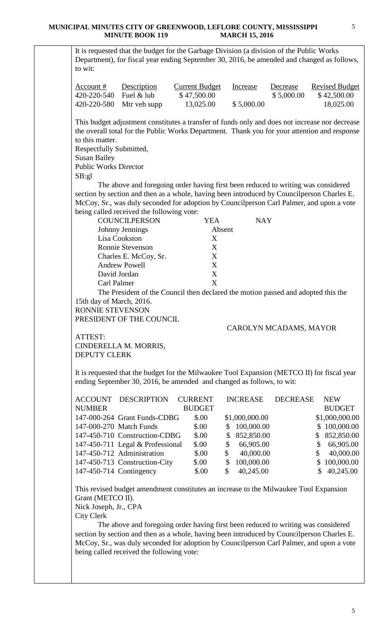### **MUNICIPAL MINUTES CITY OF GREENWOOD, LEFLORE COUNTY, MISSISSIPPI MINUTE BOOK 119 MARCH 15, 2016**

It is requested that the budget for the Garbage Division (a division of the Public Works Department), for fiscal year ending September 30, 2016, be amended and changed as follows, to wit:

| Account #   | <b>Description</b>       | <b>Current Budget</b> | Increase   | Decrease   | <b>Revised Budget</b> |
|-------------|--------------------------|-----------------------|------------|------------|-----------------------|
| 420-220-540 | Fuel & lub               | \$47,500.00           |            | \$5,000.00 | \$42,500.00           |
|             | 420-220-580 Mtr veh supp | 13,025.00             | \$5,000.00 |            | 18,025.00             |

This budget adjustment constitutes a transfer of funds only and does not increase nor decrease the overall total for the Public Works Department. Thank you for your attention and response to this matter.

Respectfully Submitted,

Susan Bailey Public Works Director

SB:gl

 The above and foregoing order having first been reduced to writing was considered section by section and then as a whole, having been introduced by Councilperson Charles E. McCoy, Sr., was duly seconded for adoption by Councilperson Carl Palmer, and upon a vote being called received the following vote:

| <b>COUNCILPERSON</b>    | YEA    | <b>NAY</b> |
|-------------------------|--------|------------|
| Johnny Jennings         | Absent |            |
| Lisa Cookston           | X      |            |
| <b>Ronnie Stevenson</b> | X      |            |
| Charles E. McCoy, Sr.   | X      |            |
| <b>Andrew Powell</b>    | X      |            |
| David Jordan            | X      |            |
| Carl Palmer             | X      |            |

The President of the Council then declared the motion passed and adopted this the 15th day of March, 2016.

RONNIE STEVENSON

PRESIDENT OF THE COUNCIL

## CAROLYN MCADAMS, MAYOR

ATTEST: CINDERELLA M. MORRIS, DEPUTY CLERK

It is requested that the budget for the Milwaukee Tool Expansion (METCO II) for fiscal year ending September 30, 2016, be amended and changed as follows, to wit:

| <b>ACCOUNT</b> | <b>DESCRIPTION</b>               | <b>CURRENT</b> |    | <b>INCREASE</b> | <b>DECREASE</b> | <b>NEW</b>     |
|----------------|----------------------------------|----------------|----|-----------------|-----------------|----------------|
| <b>NUMBER</b>  |                                  | <b>BUDGET</b>  |    |                 |                 | <b>BUDGET</b>  |
|                | 147-000-264 Grant Funds-CDBG     | \$.00          |    | \$1,000,000.00  |                 | \$1,000,000.00 |
|                | 147-000-270 Match Funds          | \$.00          | S. | 100,000.00      |                 | \$100,000.00   |
|                | 147-450-710 Construction-CDBG    | \$.00          | \$ | 852,850.00      | S.              | 852,850.00     |
|                | 147-450-711 Legal & Professional | \$.00          | \$ | 66,905.00       | S               | 66,905.00      |
|                | 147-450-712 Administration       | \$.00          | \$ | 40,000.00       | \$              | 40,000.00      |
|                | 147-450-713 Construction-City    | \$.00          | \$ | 100,000.00      |                 | \$100,000.00   |
|                | 147-450-714 Contingency          | \$.00          | S  | 40,245.00       |                 | 40,245.00      |

This revised budget amendment constitutes an increase to the Milwaukee Tool Expansion Grant (METCO II).

Nick Joseph, Jr., CPA

City Clerk

 The above and foregoing order having first been reduced to writing was considered section by section and then as a whole, having been introduced by Councilperson Charles E. McCoy, Sr., was duly seconded for adoption by Councilperson Carl Palmer, and upon a vote being called received the following vote: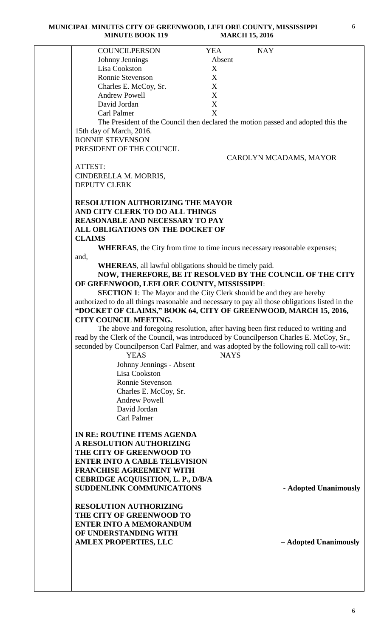| <b>COUNCILPERSON</b>                                           | <b>NAY</b><br><b>YEA</b>                                                                        |
|----------------------------------------------------------------|-------------------------------------------------------------------------------------------------|
| Johnny Jennings                                                | Absent                                                                                          |
| Lisa Cookston                                                  | X                                                                                               |
| Ronnie Stevenson                                               | X                                                                                               |
| Charles E. McCoy, Sr.                                          | X                                                                                               |
| <b>Andrew Powell</b>                                           | X                                                                                               |
|                                                                |                                                                                                 |
| David Jordan                                                   | X                                                                                               |
| <b>Carl Palmer</b>                                             | X                                                                                               |
|                                                                | The President of the Council then declared the motion passed and adopted this the               |
| 15th day of March, 2016.                                       |                                                                                                 |
| RONNIE STEVENSON                                               |                                                                                                 |
| PRESIDENT OF THE COUNCIL                                       |                                                                                                 |
|                                                                | CAROLYN MCADAMS, MAYOR                                                                          |
| ATTEST:                                                        |                                                                                                 |
| CINDERELLA M. MORRIS,                                          |                                                                                                 |
| <b>DEPUTY CLERK</b>                                            |                                                                                                 |
|                                                                |                                                                                                 |
|                                                                |                                                                                                 |
| <b>RESOLUTION AUTHORIZING THE MAYOR</b>                        |                                                                                                 |
| AND CITY CLERK TO DO ALL THINGS                                |                                                                                                 |
| <b>REASONABLE AND NECESSARY TO PAY</b>                         |                                                                                                 |
| ALL OBLIGATIONS ON THE DOCKET OF                               |                                                                                                 |
| <b>CLAIMS</b>                                                  |                                                                                                 |
|                                                                | <b>WHEREAS</b> , the City from time to time incurs necessary reasonable expenses;               |
| and,                                                           |                                                                                                 |
| <b>WHEREAS</b> , all lawful obligations should be timely paid. |                                                                                                 |
|                                                                | NOW, THEREFORE, BE IT RESOLVED BY THE COUNCIL OF THE CITY                                       |
|                                                                |                                                                                                 |
| OF GREENWOOD, LEFLORE COUNTY, MISSISSIPPI:                     |                                                                                                 |
|                                                                | <b>SECTION 1:</b> The Mayor and the City Clerk should be and they are hereby                    |
|                                                                | authorized to do all things reasonable and necessary to pay all those obligations listed in the |
|                                                                | "DOCKET OF CLAIMS," BOOK 64, CITY OF GREENWOOD, MARCH 15, 2016,                                 |
| <b>CITY COUNCIL MEETING.</b>                                   |                                                                                                 |
|                                                                | The above and foregoing resolution, after having been first reduced to writing and              |
|                                                                | read by the Clerk of the Council, was introduced by Councilperson Charles E. McCoy, Sr.,        |
|                                                                | seconded by Councilperson Carl Palmer, and was adopted by the following roll call to-wit:       |
| <b>YEAS</b>                                                    | <b>NAYS</b>                                                                                     |
|                                                                |                                                                                                 |
| Johnny Jennings - Absent                                       |                                                                                                 |
| Lisa Cookston                                                  |                                                                                                 |
| Ronnie Stevenson                                               |                                                                                                 |
| Charles E. McCoy, Sr.                                          |                                                                                                 |
| <b>Andrew Powell</b>                                           |                                                                                                 |
| David Jordan                                                   |                                                                                                 |
| Carl Palmer                                                    |                                                                                                 |
|                                                                |                                                                                                 |
| IN RE: ROUTINE ITEMS AGENDA                                    |                                                                                                 |
| A RESOLUTION AUTHORIZING                                       |                                                                                                 |
|                                                                |                                                                                                 |
| THE CITY OF GREENWOOD TO                                       |                                                                                                 |
| <b>ENTER INTO A CABLE TELEVISION</b>                           |                                                                                                 |
| <b>FRANCHISE AGREEMENT WITH</b>                                |                                                                                                 |
| CEBRIDGE ACQUISITION, L. P., D/B/A                             |                                                                                                 |
| <b>SUDDENLINK COMMUNICATIONS</b>                               | - Adopted Unanimously                                                                           |
|                                                                |                                                                                                 |
| RESOLUTION AUTHORIZING                                         |                                                                                                 |
| THE CITY OF GREENWOOD TO                                       |                                                                                                 |
| <b>ENTER INTO A MEMORANDUM</b>                                 |                                                                                                 |
| OF UNDERSTANDING WITH                                          |                                                                                                 |
| <b>AMLEX PROPERTIES, LLC</b>                                   | - Adopted Unanimously                                                                           |
|                                                                |                                                                                                 |
|                                                                |                                                                                                 |
|                                                                |                                                                                                 |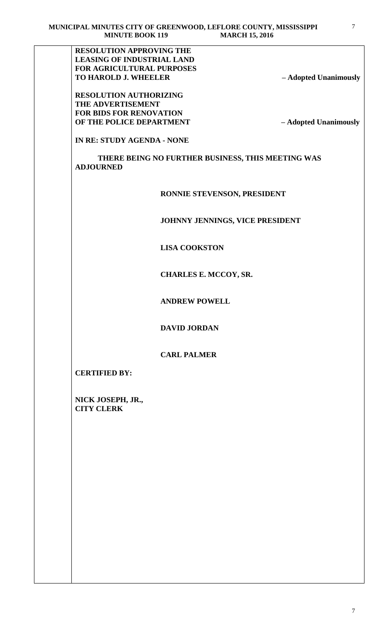**RESOLUTION APPROVING THE LEASING OF INDUSTRIAL LAND FOR AGRICULTURAL PURPOSES TO HAROLD J. WHEELER – Adopted Unanimously**

**RESOLUTION AUTHORIZING THE ADVERTISEMENT FOR BIDS FOR RENOVATION OF THE POLICE DEPARTMENT – Adopted Unanimously**

**IN RE: STUDY AGENDA - NONE**

 **THERE BEING NO FURTHER BUSINESS, THIS MEETING WAS ADJOURNED** 

 **RONNIE STEVENSON, PRESIDENT** 

 **JOHNNY JENNINGS, VICE PRESIDENT**

 **LISA COOKSTON**

 **CHARLES E. MCCOY, SR.** 

 **ANDREW POWELL**

 **DAVID JORDAN**

 **CARL PALMER**

**CERTIFIED BY:**

**NICK JOSEPH, JR., CITY CLERK**